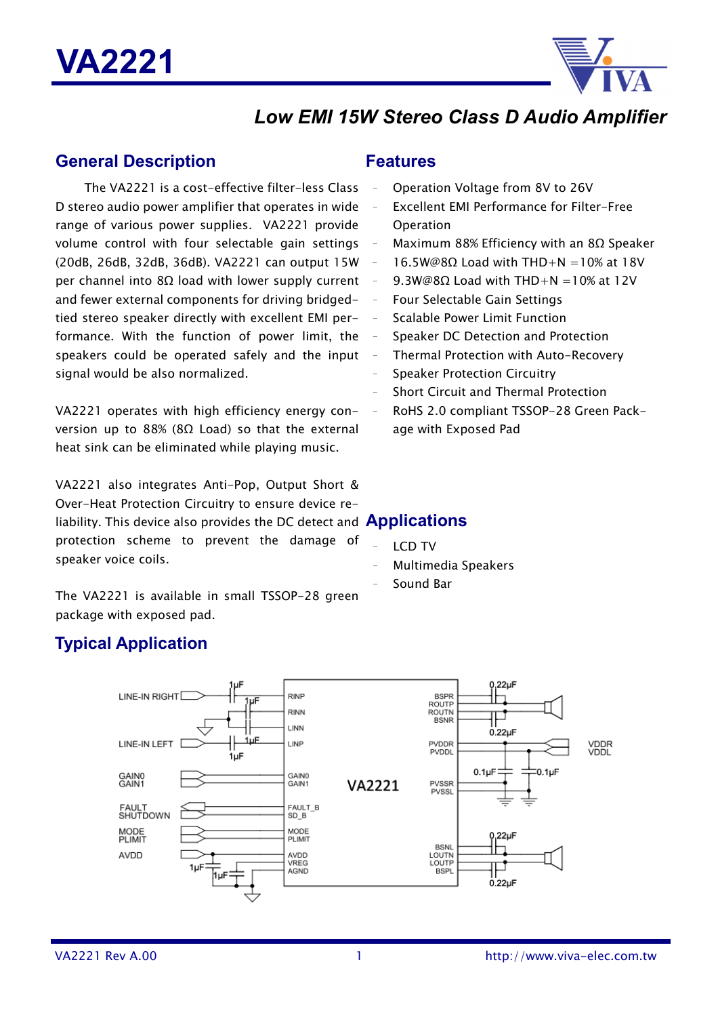

# *Low EMI 15W Stereo Class D Audio Amplifier*

### **General Description**

The VA2221 is a cost-effective filter-less Class D stereo audio power amplifier that operates in wide range of various power supplies. VA2221 provide volume control with four selectable gain settings (20dB, 26dB, 32dB, 36dB). VA2221 can output 15W per channel into 8Ω load with lower supply current and fewer external components for driving bridgedtied stereo speaker directly with excellent EMI performance. With the function of power limit, the speakers could be operated safely and the input signal would be also normalized.

VA2221 operates with high efficiency energy conversion up to 88% (8Ω Load) so that the external heat sink can be eliminated while playing music.

VA2221 also integrates Anti-Pop, Output Short & Over-Heat Protection Circuitry to ensure device reliability. This device also provides the DC detect and **Applications** protection scheme to prevent the damage of speaker voice coils.

The VA2221 is available in small TSSOP-28 green package with exposed pad.

# **Typical Application**

### **Features**

- Operation Voltage from 8V to 26V
- Excellent EMI Performance for Filter-Free **Operation**
- Maximum 88% Efficiency with an 8Ω Speaker
- $16.5W@8Q$  Load with THD+N =10% at 18V
- 9.3W@8Ω Load with THD+N =10% at 12V
- Four Selectable Gain Settings
- Scalable Power Limit Function
- Speaker DC Detection and Protection
- Thermal Protection with Auto-Recovery
- Speaker Protection Circuitry
- Short Circuit and Thermal Protection
- RoHS 2.0 compliant TSSOP-28 Green Package with Exposed Pad

- **LCD TV**
- Multimedia Speakers
- Sound Bar

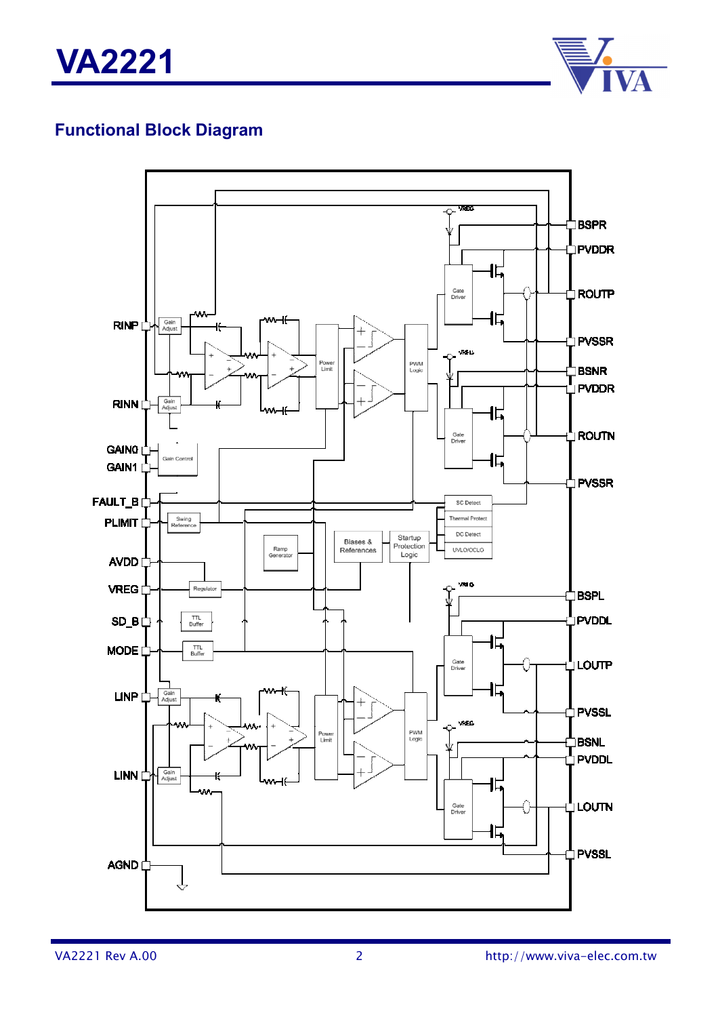**VA2221**



# **Functional Block Diagram**

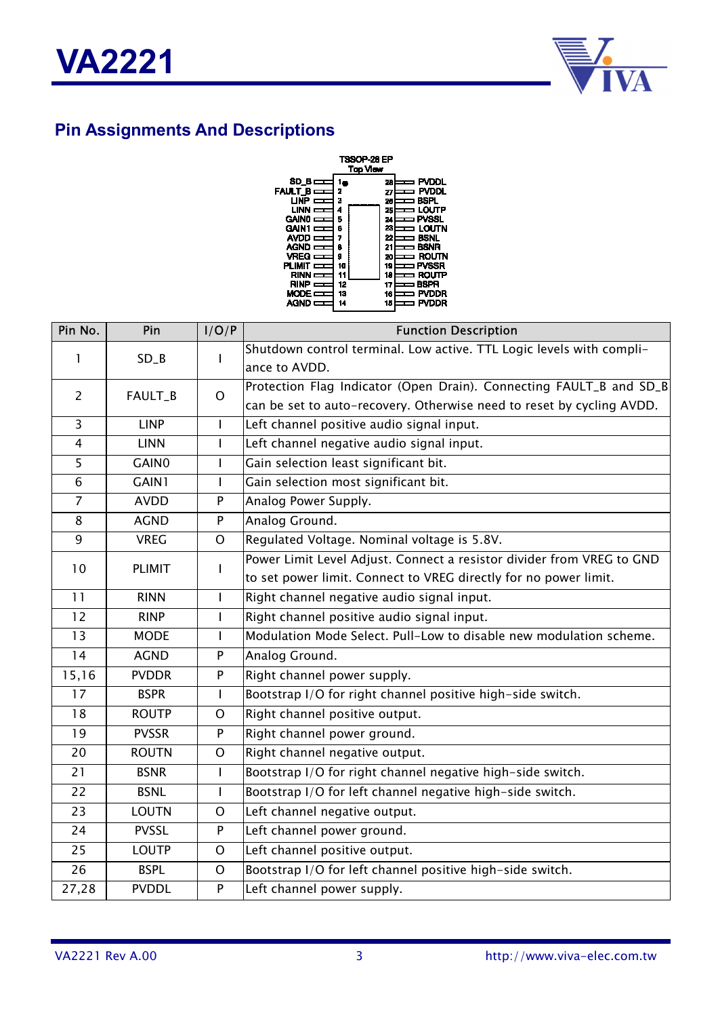

# **Pin Assignments And Descriptions**



| Pin No.         | Pin          | I/O/P          | <b>Function Description</b>                                           |
|-----------------|--------------|----------------|-----------------------------------------------------------------------|
| 1               | $SD_B$       | $\mathbf{I}$   | Shutdown control terminal. Low active. TTL Logic levels with compli-  |
|                 |              |                | ance to AVDD.                                                         |
| $\overline{2}$  | FAULT_B      | $\overline{O}$ | Protection Flag Indicator (Open Drain). Connecting FAULT_B and SD_B   |
|                 |              |                | can be set to auto-recovery. Otherwise need to reset by cycling AVDD. |
| $\overline{3}$  | <b>LINP</b>  | L              | Left channel positive audio signal input.                             |
| $\overline{4}$  | <b>LINN</b>  | I              | Left channel negative audio signal input.                             |
| 5               | GAIN0        | $\overline{1}$ | Gain selection least significant bit.                                 |
| $\overline{6}$  | GAIN1        | $\mathbf{I}$   | Gain selection most significant bit.                                  |
| $\overline{7}$  | <b>AVDD</b>  | P              | Analog Power Supply.                                                  |
| 8               | <b>AGND</b>  | P              | Analog Ground.                                                        |
| 9               | <b>VREG</b>  | $\mathsf{O}$   | Regulated Voltage. Nominal voltage is 5.8V.                           |
| 10              | PLIMIT       | $\mathbf{I}$   | Power Limit Level Adjust. Connect a resistor divider from VREG to GND |
|                 |              |                | to set power limit. Connect to VREG directly for no power limit.      |
| 11              | <b>RINN</b>  | $\mathsf{I}$   | Right channel negative audio signal input.                            |
| 12              | <b>RINP</b>  | L              | Right channel positive audio signal input.                            |
| 13              | <b>MODE</b>  | T              | Modulation Mode Select. Pull-Low to disable new modulation scheme.    |
| 14              | <b>AGND</b>  | P              | Analog Ground.                                                        |
| 15,16           | <b>PVDDR</b> | ${\sf P}$      | Right channel power supply.                                           |
| 17              | <b>BSPR</b>  | $\mathsf{I}$   | Bootstrap I/O for right channel positive high-side switch.            |
| 18              | <b>ROUTP</b> | O              | Right channel positive output.                                        |
| 19              | <b>PVSSR</b> | ${\sf P}$      | Right channel power ground.                                           |
| 20              | <b>ROUTN</b> | O              | Right channel negative output.                                        |
| 21              | <b>BSNR</b>  | $\mathsf{I}$   | Bootstrap I/O for right channel negative high-side switch.            |
| 22              | <b>BSNL</b>  | $\mathbf{I}$   | Bootstrap I/O for left channel negative high-side switch.             |
| $\overline{23}$ | <b>LOUTN</b> | $\mathsf{O}$   | Left channel negative output.                                         |
| 24              | <b>PVSSL</b> | ${\sf P}$      | Left channel power ground.                                            |
| 25              | <b>LOUTP</b> | $\mathsf{O}$   | Left channel positive output.                                         |
| 26              | <b>BSPL</b>  | $\mathsf O$    | Bootstrap I/O for left channel positive high-side switch.             |
| 27,28           | <b>PVDDL</b> | P              | Left channel power supply.                                            |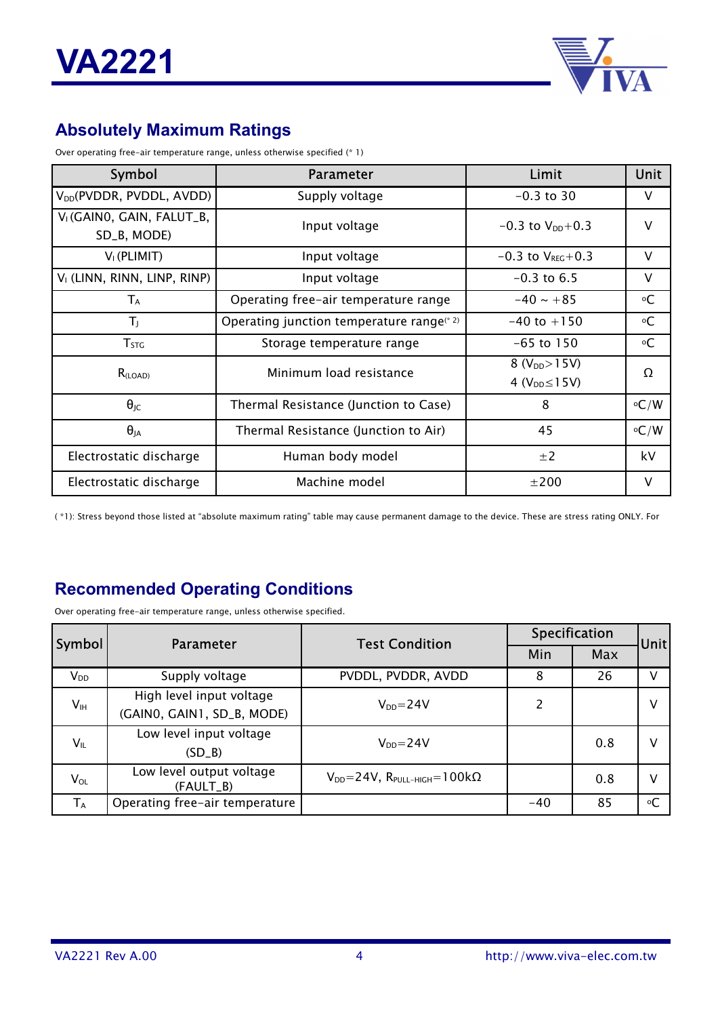

# **Absolutely Maximum Ratings**

Over operating free-air temperature range, unless otherwise specified (\* 1)

| Symbol                                               | Parameter                                    | Limit                                        | Unit               |
|------------------------------------------------------|----------------------------------------------|----------------------------------------------|--------------------|
| V <sub>DD</sub> (PVDDR, PVDDL, AVDD)                 | Supply voltage                               | $-0.3$ to 30                                 | V                  |
| V <sub>I</sub> (GAINO, GAIN, FALUT_B,<br>SD_B, MODE) | Input voltage                                | $-0.3$ to $V_{DD}+0.3$                       | $\vee$             |
| $V1$ (PLIMIT)                                        | Input voltage                                | $-0.3$ to $V_{REG}+0.3$                      | $\vee$             |
| V <sub>I</sub> (LINN, RINN, LINP, RINP)              | Input voltage                                | $-0.3$ to 6.5                                | V                  |
| $T_A$                                                | Operating free-air temperature range         | $-40 \sim +85$                               | $\circ \mathsf{C}$ |
| TJ.                                                  | Operating junction temperature range $(* 2)$ | $-40$ to $+150$                              | $\circ \mathsf{C}$ |
| $T_{STG}$                                            | Storage temperature range                    | $-65$ to 150                                 | $\circ C$          |
| R <sub>(LOAD)</sub>                                  | Minimum load resistance                      | $8 (V_{DD} > 15V)$<br>4 ( $V_{DD} \le 15V$ ) | Ω                  |
| $\theta_{\text{JC}}$                                 | Thermal Resistance (Junction to Case)        | 8                                            | $\circ$ C/W        |
| $\theta_{JA}$                                        | Thermal Resistance (Junction to Air)         | 45                                           | $\circ$ C/W        |
| Electrostatic discharge                              | Human body model                             | ±2                                           | kV                 |
| Electrostatic discharge                              | Machine model                                | ±200                                         | V                  |

( \*1): Stress beyond those listed at "absolute maximum rating" table may cause permanent damage to the device. These are stress rating ONLY. For

# **Recommended Operating Conditions**

Over operating free-air temperature range, unless otherwise specified.

| <b>Symbol</b>   | Parameter                             | <b>Test Condition</b>                         | Specification | Unit |           |
|-----------------|---------------------------------------|-----------------------------------------------|---------------|------|-----------|
|                 |                                       |                                               | Min           | Max  |           |
| $V_{DD}$        | Supply voltage                        | PVDDL, PVDDR, AVDD                            | 8             | 26   | v         |
| V <sub>IH</sub> | High level input voltage              | $V_{DD} = 24V$                                | 2             |      | v         |
|                 | (GAINO, GAIN1, SD_B, MODE)            |                                               |               |      |           |
| $V_{IL}$        | Low level input voltage               | $V_{DD} = 24V$                                |               | 0.8  | ν         |
|                 | $(SD_B)$                              |                                               |               |      |           |
| $V_{OL}$        | Low level output voltage<br>(FAULT_B) | $V_{DD} = 24V$ , $R_{PULL-HIGH} = 100k\Omega$ |               | 0.8  | ٧         |
| $T_A$           | Operating free-air temperature        |                                               | $-40$         | 85   | $\circ$ C |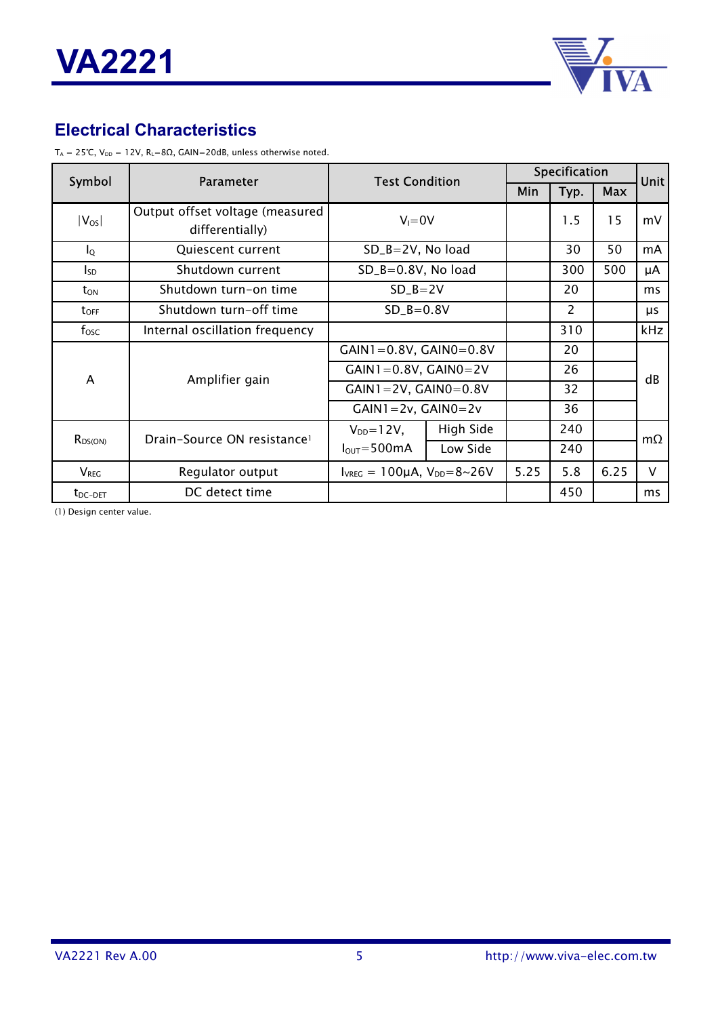

# **Electrical Characteristics**

 $T_A = 25°C$ ,  $V_{DD} = 12V$ ,  $R_L = 8Ω$ ,  $GAIN = 20dB$ , unless otherwise noted.

| Symbol                  | <b>Parameter</b>                                   | <b>Test Condition</b>                           |           | Specification |                |            | Unit |  |
|-------------------------|----------------------------------------------------|-------------------------------------------------|-----------|---------------|----------------|------------|------|--|
|                         |                                                    | Min<br>Typ.                                     |           |               |                | <b>Max</b> |      |  |
| $ V_{OS} $              | Output offset voltage (measured<br>differentially) | $V_i = 0V$                                      |           |               | 1.5            | 15         | mV   |  |
| $I_{\mathsf{Q}}$        | Quiescent current                                  | $SD_B = 2V$ , No load                           |           |               | 30             | 50         | mA   |  |
| $I_{SD}$                | Shutdown current                                   | $SD_B = 0.8V$ , No load                         |           |               | 300            | 500        | μA   |  |
| $t_{ON}$                | Shutdown turn-on time                              | $SD$ $B = 2V$                                   |           |               | 20             |            | ms   |  |
| $t_{\text{OFF}}$        | Shutdown turn-off time                             | $SD_B = 0.8V$                                   |           |               | $\overline{2}$ |            | μs   |  |
| $f_{\rm osc}$           | Internal oscillation frequency                     |                                                 |           |               | 310            |            | kHz  |  |
|                         |                                                    | $GAIN1 = 0.8V, GAIN0 = 0.8V$                    |           |               | 20             |            | dB   |  |
| A                       | Amplifier gain                                     | $GAIN1 = 0.8V$ , $GAIN0 = 2V$                   |           |               | 26             |            |      |  |
|                         |                                                    | $GAIN1 = 2V, GAIN0 = 0.8V$                      |           |               | 32             |            |      |  |
|                         |                                                    | $GAIN1 = 2v$ , $GAIN0 = 2v$                     |           |               | 36             |            |      |  |
|                         | Drain-Source ON resistance <sup>1</sup>            | $V_{DD} = 12V$ ,                                | High Side |               | 240            |            | mΩ   |  |
| $R_{DS(ON)}$            |                                                    | $I_{\text{OUT}} = 500 \text{mA}$                | Low Side  |               | 240            |            |      |  |
| <b>V</b> <sub>REG</sub> | Regulator output                                   | $I_{VREG} = 100 \mu A$ , $V_{DD} = 8 \sim 26 V$ |           | 5.25          | 5.8            | 6.25       | V    |  |
| $t_{DC-DET}$            | DC detect time                                     |                                                 |           |               | 450            |            | ms   |  |

(1) Design center value.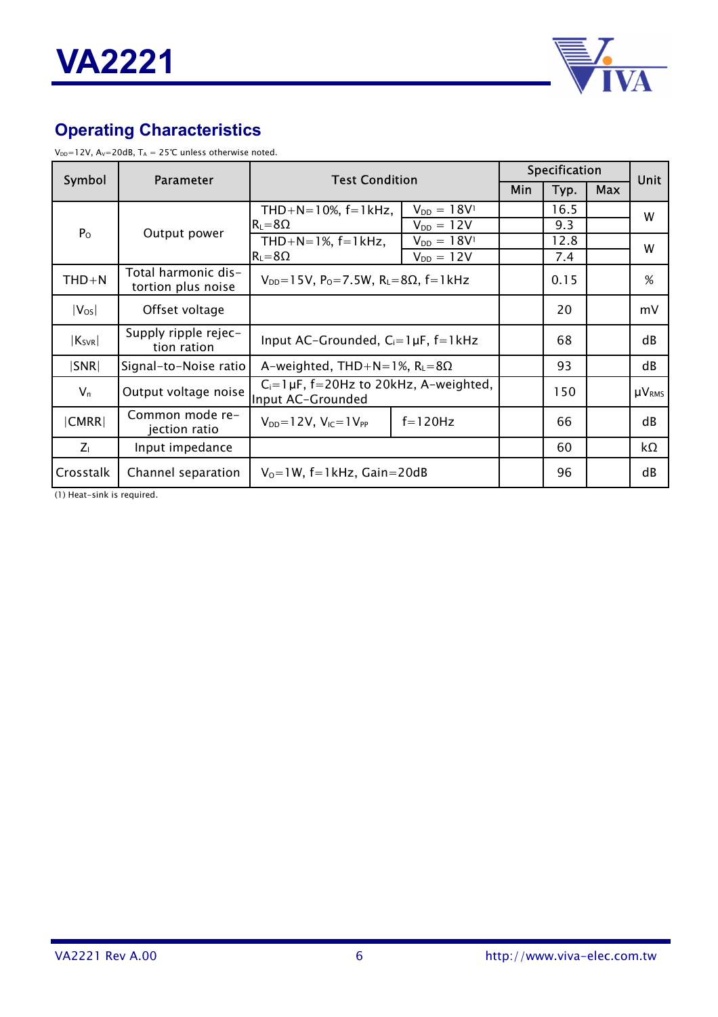

# **Operating Characteristics**

 $V_{DD}=12V$ , A<sub>V</sub>=20dB, T<sub>A</sub> = 25℃ unless otherwise noted.

| Symbol      | Parameter                                 | <b>Test Condition</b>                                               |                    | Specification |            |  | Unit          |
|-------------|-------------------------------------------|---------------------------------------------------------------------|--------------------|---------------|------------|--|---------------|
|             |                                           |                                                                     | Min                | Typ.          | <b>Max</b> |  |               |
|             |                                           | THD+N=10%, $f=1$ kHz,                                               | $V_{DD} = 18V^{1}$ |               | 16.5       |  | W             |
| $P_{O}$     | Output power                              | $R_L = 8\Omega$                                                     | $V_{DD} = 12V$     |               | 9.3        |  | W             |
|             |                                           | THD+N=1%, $f=1$ kHz,                                                | $V_{DD} = 18V^{1}$ |               | 12.8       |  |               |
|             |                                           | $R_L = 8\Omega$                                                     | $V_{DD} = 12V$     |               | 7.4        |  |               |
| $THD+N$     | Total harmonic dis-<br>tortion plus noise | $V_{DD}$ =15V, P <sub>0</sub> =7.5W, R <sub>L</sub> =8Ω, f=1kHz     |                    |               | 0.15       |  | %             |
| $ V_{OS} $  | Offset voltage                            |                                                                     |                    |               | 20         |  | mV            |
| $ K_{SVR} $ | Supply ripple rejec-<br>tion ration       | Input AC-Grounded, $C_i = 1 \mu F$ , $f = 1 \kappa Hz$              |                    |               | 68         |  | dB            |
| SNR         | Signal-to-Noise ratio                     | A-weighted, THD+N=1%, $R_L = 8\Omega$                               |                    |               | 93         |  | dB            |
| $V_n$       | Output voltage noise                      | $C_i = 1 \mu F$ , f=20Hz to 20kHz, A-weighted,<br>Input AC-Grounded |                    |               | 150        |  | $\mu V_{RMS}$ |
| CMRR        | Common mode re-<br>jection ratio          | $V_{DD} = 12V$ , $V_{IC} = 1V_{PP}$                                 | $f=120Hz$          |               | 66         |  | dB            |
| $Z_{1}$     | Input impedance                           |                                                                     |                    |               | 60         |  | kΩ            |
| Crosstalk   | Channel separation                        | $V_0 = 1W$ , f=1kHz, Gain=20dB                                      |                    |               | 96         |  | dB            |

(1) Heat-sink is required.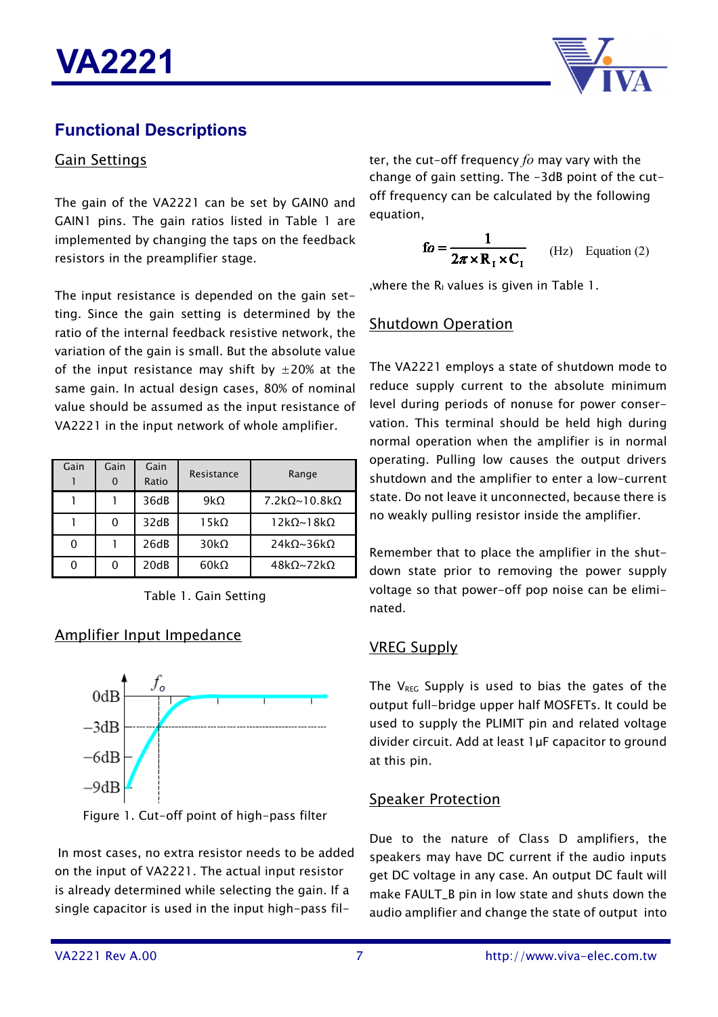

### **Functional Descriptions**

#### Gain Settings

The gain of the VA2221 can be set by GAIN0 and GAIN1 pins. The gain ratios listed in Table 1 are implemented by changing the taps on the feedback resistors in the preamplifier stage.

The input resistance is depended on the gain setting. Since the gain setting is determined by the ratio of the internal feedback resistive network, the variation of the gain is small. But the absolute value of the input resistance may shift by  $\pm 20\%$  at the same gain. In actual design cases, 80% of nominal value should be assumed as the input resistance of VA2221 in the input network of whole amplifier.

| Gain | Gain | Gain<br>Ratio | Resistance   | Range                      |
|------|------|---------------|--------------|----------------------------|
|      |      | 36dB          | $9k\Omega$   | $7.2k\Omega~10.8k\Omega$   |
|      |      | 32dB          | 15 $k\Omega$ | $12k\Omega$ ~18k $\Omega$  |
|      |      | 26dB          | $30k\Omega$  | $24k\Omega \sim 36k\Omega$ |
|      |      | 20dB          | $60k\Omega$  | $48k\Omega \sim 72k\Omega$ |



### Amplifier Input Impedance



Figure 1. Cut-off point of high-pass filter

In most cases, no extra resistor needs to be added on the input of VA2221. The actual input resistor is already determined while selecting the gain. If a single capacitor is used in the input high-pass filter, the cut-off frequency *fo* may vary with the change of gain setting. The -3dB point of the cutoff frequency can be calculated by the following equation,

$$
\mathbf{f}o = \frac{1}{2\pi \times \mathbf{R}_1 \times \mathbf{C}_1}
$$
 (Hz) Equation (2)

, where the  $R<sub>1</sub>$  values is given in Table 1.

### Shutdown Operation

The VA2221 employs a state of shutdown mode to reduce supply current to the absolute minimum level during periods of nonuse for power conservation. This terminal should be held high during normal operation when the amplifier is in normal operating. Pulling low causes the output drivers shutdown and the amplifier to enter a low-current state. Do not leave it unconnected, because there is no weakly pulling resistor inside the amplifier.

Remember that to place the amplifier in the shutdown state prior to removing the power supply voltage so that power-off pop noise can be eliminated.

#### VREG Supply

The  $V_{REG}$  Supply is used to bias the gates of the output full-bridge upper half MOSFETs. It could be used to supply the PLIMIT pin and related voltage divider circuit. Add at least 1µF capacitor to ground at this pin.

### Speaker Protection

Due to the nature of Class D amplifiers, the speakers may have DC current if the audio inputs get DC voltage in any case. An output DC fault will make FAULT\_B pin in low state and shuts down the audio amplifier and change the state of output into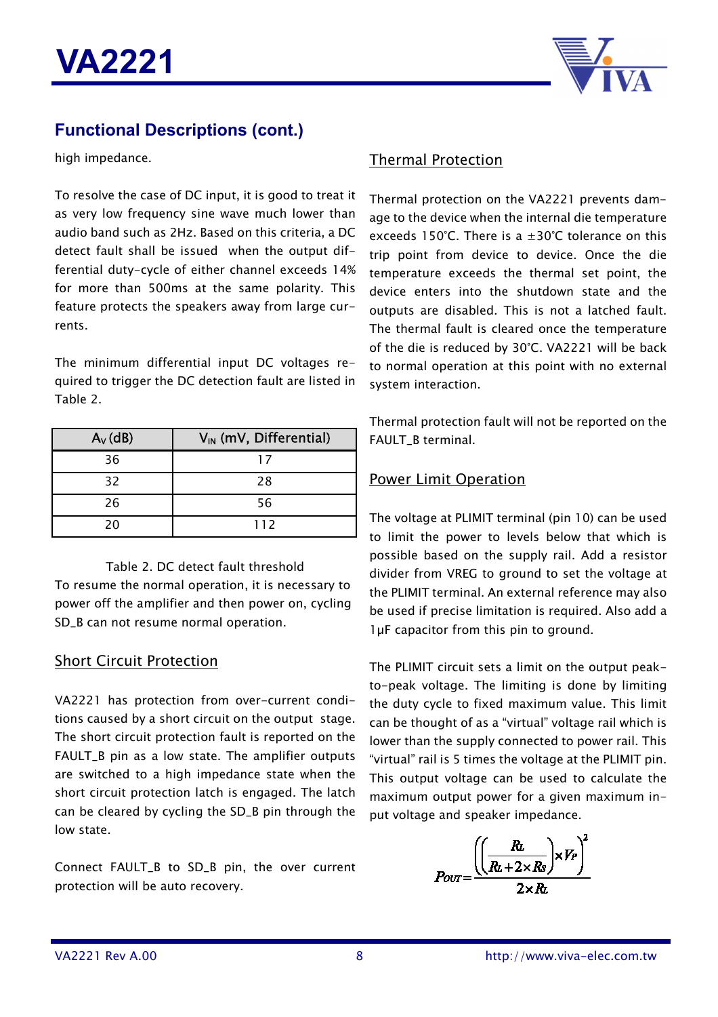

### **Functional Descriptions (cont.)**

high impedance.

To resolve the case of DC input, it is good to treat it as very low frequency sine wave much lower than audio band such as 2Hz. Based on this criteria, a DC detect fault shall be issued when the output differential duty-cycle of either channel exceeds 14% for more than 500ms at the same polarity. This feature protects the speakers away from large currents.

The minimum differential input DC voltages required to trigger the DC detection fault are listed in Table 2.

| $A_V$ (dB) | $V_{IN}$ (mV, Differential) |
|------------|-----------------------------|
| 36         | 17                          |
| 32         | 28                          |
| 26         | 56                          |
| 20         | 112                         |

#### Table 2. DC detect fault threshold

To resume the normal operation, it is necessary to power off the amplifier and then power on, cycling SD\_B can not resume normal operation.

#### Short Circuit Protection

VA2221 has protection from over-current conditions caused by a short circuit on the output stage. The short circuit protection fault is reported on the FAULT\_B pin as a low state. The amplifier outputs are switched to a high impedance state when the short circuit protection latch is engaged. The latch can be cleared by cycling the SD\_B pin through the low state.

Connect FAULT\_B to SD\_B pin, the over current protection will be auto recovery.

#### Thermal Protection

Thermal protection on the VA2221 prevents damage to the device when the internal die temperature exceeds 150°C. There is a  $\pm 30^{\circ}$ C tolerance on this trip point from device to device. Once the die temperature exceeds the thermal set point, the device enters into the shutdown state and the outputs are disabled. This is not a latched fault. The thermal fault is cleared once the temperature of the die is reduced by 30°C. VA2221 will be back to normal operation at this point with no external system interaction.

Thermal protection fault will not be reported on the FAULT\_B terminal.

#### Power Limit Operation

The voltage at PLIMIT terminal (pin 10) can be used to limit the power to levels below that which is possible based on the supply rail. Add a resistor divider from VREG to ground to set the voltage at the PLIMIT terminal. An external reference may also be used if precise limitation is required. Also add a luF capacitor from this pin to ground.

The PLIMIT circuit sets a limit on the output peakto-peak voltage. The limiting is done by limiting the duty cycle to fixed maximum value. This limit can be thought of as a "virtual" voltage rail which is lower than the supply connected to power rail. This "virtual" rail is 5 times the voltage at the PLIMIT pin. This output voltage can be used to calculate the maximum output power for a given maximum input voltage and speaker impedance.

$$
P_{OUT} = \frac{\left(\left(\frac{Rt}{Rt + 2 \times Rs}\right) \times V_P\right)^2}{2 \times Rt}
$$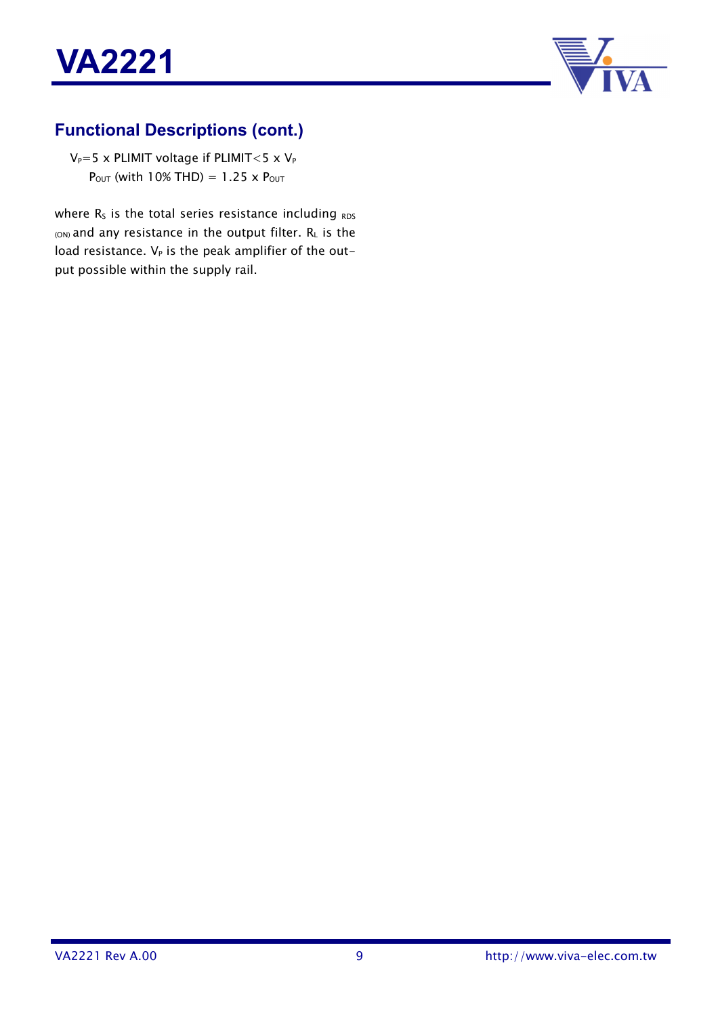



# **Functional Descriptions (cont.)**

 $V_P=5$  x PLIMIT voltage if PLIMIT < 5 x  $V_P$  $P_{OUT}$  (with 10% THD) = 1.25 x  $P_{OUT}$ 

where  $R_S$  is the total series resistance including  $RDS$  $_{(ON)}$  and any resistance in the output filter.  $R_L$  is the load resistance.  $V_P$  is the peak amplifier of the output possible within the supply rail.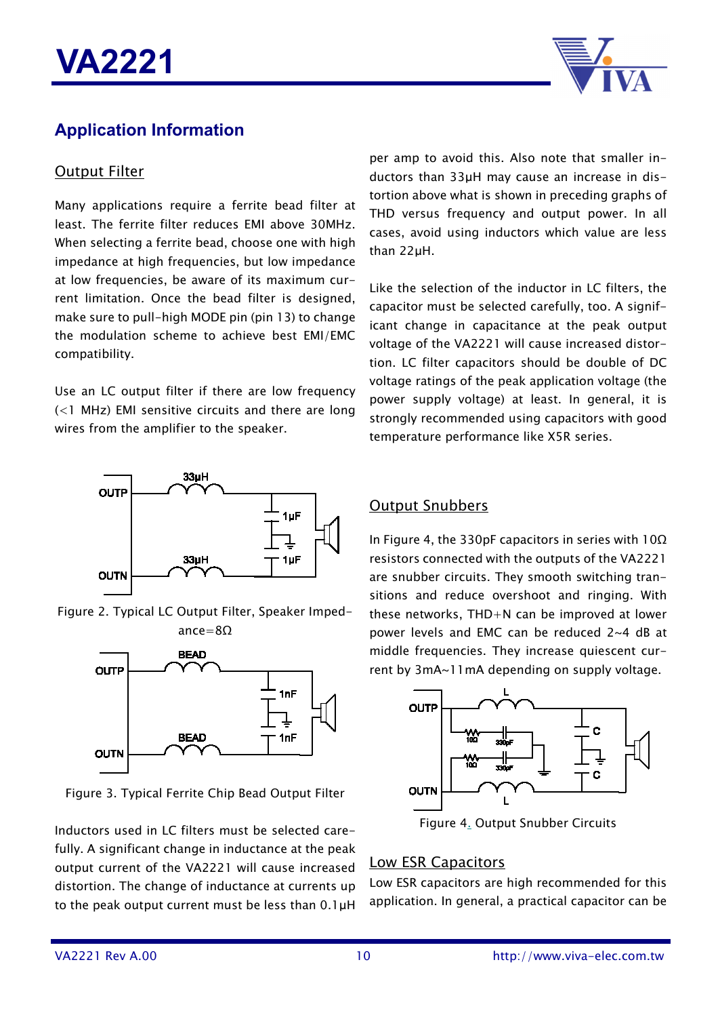

# **Application Information**

#### Output Filter

Many applications require a ferrite bead filter at least. The ferrite filter reduces EMI above 30MHz. When selecting a ferrite bead, choose one with high impedance at high frequencies, but low impedance at low frequencies, be aware of its maximum current limitation. Once the bead filter is designed, make sure to pull-high MODE pin (pin 13) to change the modulation scheme to achieve best EMI/EMC compatibility.

Use an LC output filter if there are low frequency (<1 MHz) EMI sensitive circuits and there are long wires from the amplifier to the speaker.



Figure 2. Typical LC Output Filter, Speaker Impedance=8Ω



Figure 3. Typical Ferrite Chip Bead Output Filter

Inductors used in LC filters must be selected carefully. A significant change in inductance at the peak output current of the VA2221 will cause increased distortion. The change of inductance at currents up to the peak output current must be less than 0.1µH per amp to avoid this. Also note that smaller inductors than 33µH may cause an increase in distortion above what is shown in preceding graphs of THD versus frequency and output power. In all cases, avoid using inductors which value are less than 22µH.

Like the selection of the inductor in LC filters, the capacitor must be selected carefully, too. A significant change in capacitance at the peak output voltage of the VA2221 will cause increased distortion. LC filter capacitors should be double of DC voltage ratings of the peak application voltage (the power supply voltage) at least. In general, it is strongly recommended using capacitors with good temperature performance like X5R series.

#### Output Snubbers

In Figure 4, the 330pF capacitors in series with 10Ω resistors connected with the outputs of the VA2221 are snubber circuits. They smooth switching transitions and reduce overshoot and ringing. With these networks, THD+N can be improved at lower power levels and EMC can be reduced 2~4 dB at middle frequencies. They increase quiescent current by 3mA~11mA depending on supply voltage.



Figure 4. Output Snubber Circuits

### Low ESR Capacitors

Low ESR capacitors are high recommended for this application. In general, a practical capacitor can be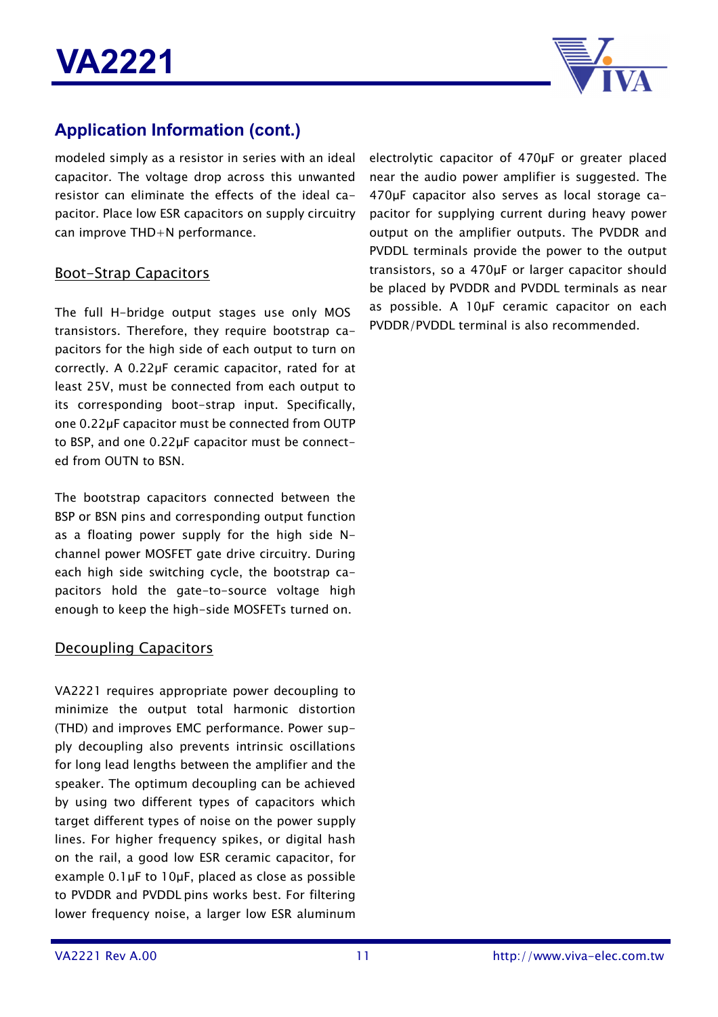

# **Application Information (cont.)**

modeled simply as a resistor in series with an ideal capacitor. The voltage drop across this unwanted resistor can eliminate the effects of the ideal capacitor. Place low ESR capacitors on supply circuitry can improve THD+N performance.

#### Boot-Strap Capacitors

The full H-bridge output stages use only MOS transistors. Therefore, they require bootstrap capacitors for the high side of each output to turn on correctly. A 0.22µF ceramic capacitor, rated for at least 25V, must be connected from each output to its corresponding boot-strap input. Specifically, one 0.22µF capacitor must be connected from OUTP to BSP, and one 0.22µF capacitor must be connected from OUTN to BSN.

The bootstrap capacitors connected between the BSP or BSN pins and corresponding output function as a floating power supply for the high side Nchannel power MOSFET gate drive circuitry. During each high side switching cycle, the bootstrap capacitors hold the gate-to-source voltage high enough to keep the high-side MOSFETs turned on.

#### Decoupling Capacitors

VA2221 requires appropriate power decoupling to minimize the output total harmonic distortion (THD) and improves EMC performance. Power supply decoupling also prevents intrinsic oscillations for long lead lengths between the amplifier and the speaker. The optimum decoupling can be achieved by using two different types of capacitors which target different types of noise on the power supply lines. For higher frequency spikes, or digital hash on the rail, a good low ESR ceramic capacitor, for example 0.1µF to 10µF, placed as close as possible to PVDDR and PVDDL pins works best. For filtering lower frequency noise, a larger low ESR aluminum

electrolytic capacitor of 470µF or greater placed near the audio power amplifier is suggested. The 470µF capacitor also serves as local storage capacitor for supplying current during heavy power output on the amplifier outputs. The PVDDR and PVDDL terminals provide the power to the output transistors, so a 470µF or larger capacitor should be placed by PVDDR and PVDDL terminals as near as possible. A 10µF ceramic capacitor on each PVDDR/PVDDL terminal is also recommended.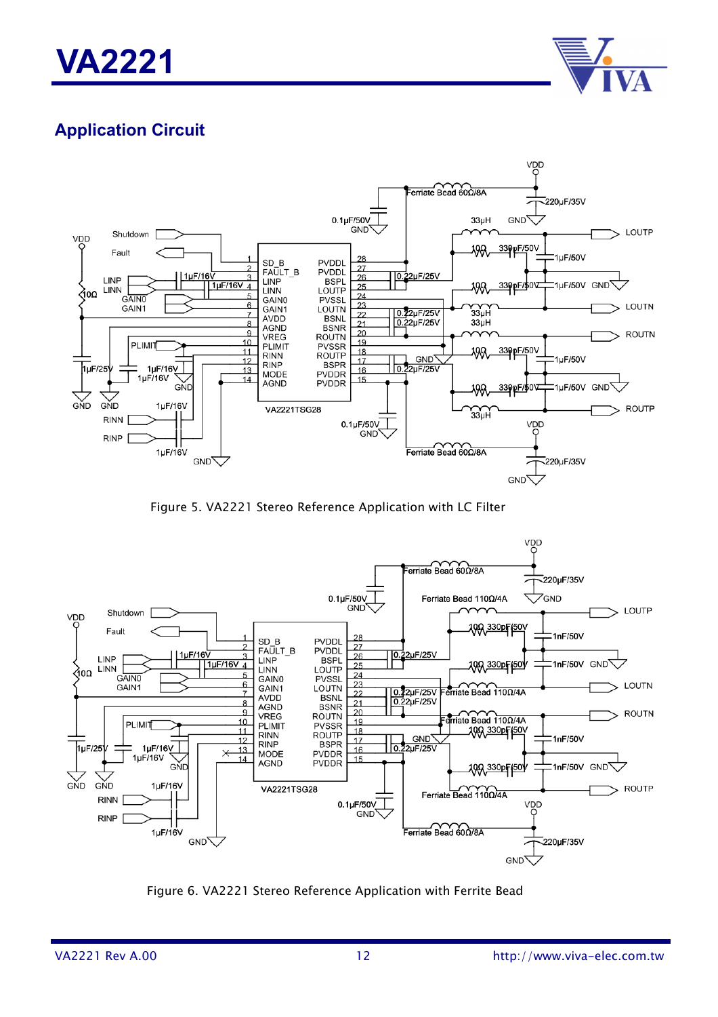



# **Application Circuit**



Figure 5. VA2221 Stereo Reference Application with LC Filter



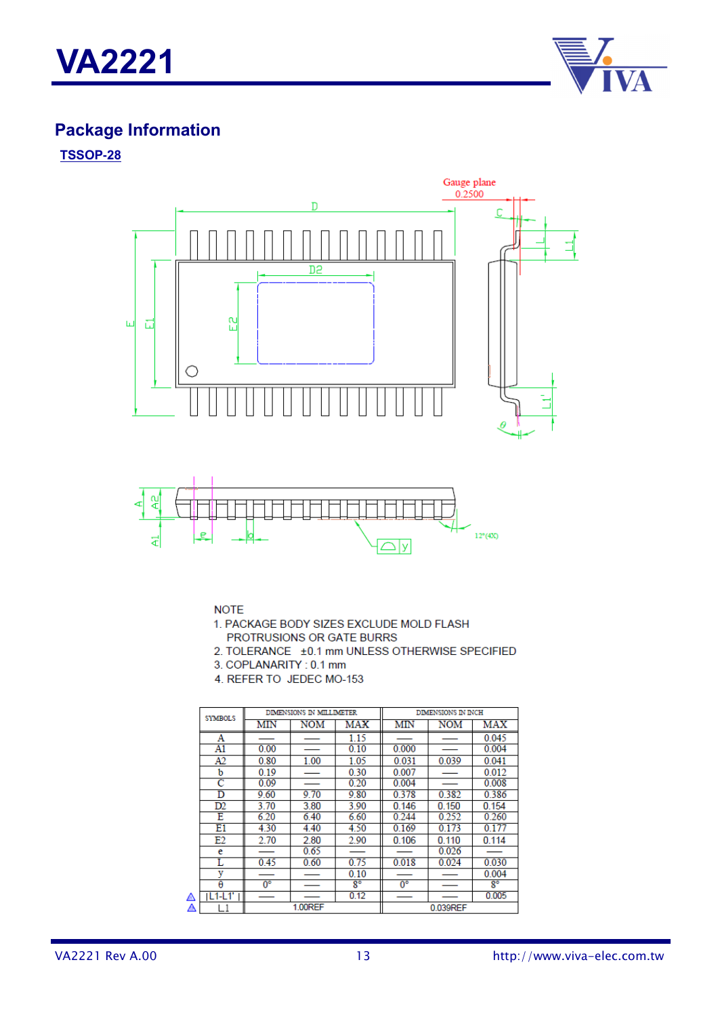



# **Package Information**

#### **TSSOP-28**





**NOTE** 

1. PACKAGE BODY SIZES EXCLUDE MOLD FLASH PROTRUSIONS OR GATE BURRS

- 2. TOLERANCE ±0.1 mm UNLESS OTHERWISE SPECIFIED
- 3. COPLANARITY: 0.1 mm
- 4. REFER TO JEDEC MO-153

|   | <b>SYMBOLS</b>        | DIMENSIONS IN MILLIMETER |      |             | DIMENSIONS IN INCH |            |             |
|---|-----------------------|--------------------------|------|-------------|--------------------|------------|-------------|
|   |                       | MIN                      | NOM  | MAX         | MIN                | <b>NOM</b> | MAX         |
|   | Α                     |                          |      | 1.15        |                    |            | 0.045       |
|   | A1                    | 0.00                     |      | 0.10        | 0.000              |            | 0.004       |
|   | A2                    | 0.80                     | 1.00 | 1.05        | 0.031              | 0.039      | 0.041       |
|   | b                     | 0.19                     |      | 0.30        | 0.007              |            | 0.012       |
|   | $\overline{\text{c}}$ | 0.09                     |      | 0.20        | 0.004              |            | 0.008       |
|   | D                     | 9.60                     | 9.70 | 9.80        | 0.378              | 0.382      | 0.386       |
|   | D2                    | 3.70                     | 3.80 | 3.90        | 0.146              | 0.150      | 0.154       |
|   | Е                     | 6.20                     | 6.40 | 6.60        | 0.244              | 0.252      | 0.260       |
|   | E1                    | 4.30                     | 4.40 | 4.50        | 0.169              | 0.173      | 0.177       |
|   | E2                    | 2.70                     | 2.80 | 2.90        | 0.106              | 0.110      | 0.114       |
|   | e                     |                          | 0.65 |             |                    | 0.026      |             |
|   | L                     | 0.45                     | 0.60 | 0.75        | 0.018              | 0.024      | 0.030       |
|   | v                     |                          |      | 0.10        |                    |            | 0.004       |
|   | θ                     | $0^{\circ}$              |      | $8^{\circ}$ | $0^{\circ}$        |            | $8^{\circ}$ |
| ∧ | $L1-L1$               |                          |      | 0.12        |                    |            | 0.005       |
| Α |                       | 1.00REF<br>0.039REF      |      |             |                    |            |             |